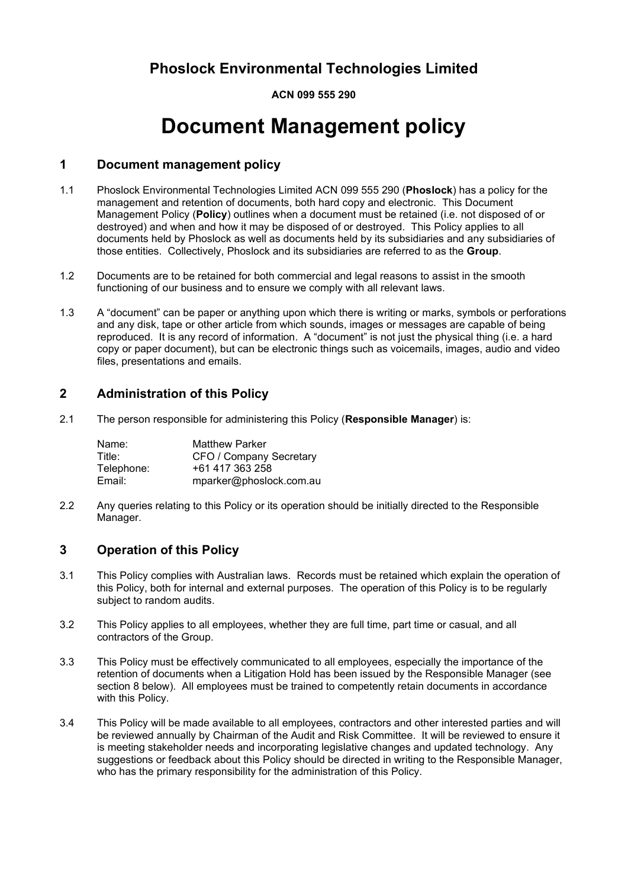**ACN 099 555 290**

# **Document Management policy**

#### **1 Document management policy**

- 1.1 Phoslock Environmental Technologies Limited ACN 099 555 290 (**Phoslock**) has a policy for the management and retention of documents, both hard copy and electronic. This Document Management Policy (**Policy**) outlines when a document must be retained (i.e. not disposed of or destroyed) and when and how it may be disposed of or destroyed. This Policy applies to all documents held by Phoslock as well as documents held by its subsidiaries and any subsidiaries of those entities. Collectively, Phoslock and its subsidiaries are referred to as the **Group**.
- 1.2 Documents are to be retained for both commercial and legal reasons to assist in the smooth functioning of our business and to ensure we comply with all relevant laws.
- 1.3 A "document" can be paper or anything upon which there is writing or marks, symbols or perforations and any disk, tape or other article from which sounds, images or messages are capable of being reproduced. It is any record of information. A "document" is not just the physical thing (i.e. a hard copy or paper document), but can be electronic things such as voicemails, images, audio and video files, presentations and emails.

#### **2 Administration of this Policy**

2.1 The person responsible for administering this Policy (**Responsible Manager**) is:

| Name:      | <b>Matthew Parker</b>   |
|------------|-------------------------|
| Title:     | CFO / Company Secretary |
| Telephone: | +61 417 363 258         |
| Email:     | mparker@phoslock.com.au |

2.2 Any queries relating to this Policy or its operation should be initially directed to the Responsible Manager.

#### **3 Operation of this Policy**

- 3.1 This Policy complies with Australian laws. Records must be retained which explain the operation of this Policy, both for internal and external purposes. The operation of this Policy is to be regularly subject to random audits.
- 3.2 This Policy applies to all employees, whether they are full time, part time or casual, and all contractors of the Group.
- 3.3 This Policy must be effectively communicated to all employees, especially the importance of the retention of documents when a Litigation Hold has been issued by the Responsible Manager (see section [8](#page-2-0) below). All employees must be trained to competently retain documents in accordance with this Policy.
- 3.4 This Policy will be made available to all employees, contractors and other interested parties and will be reviewed annually by Chairman of the Audit and Risk Committee. It will be reviewed to ensure it is meeting stakeholder needs and incorporating legislative changes and updated technology. Any suggestions or feedback about this Policy should be directed in writing to the Responsible Manager, who has the primary responsibility for the administration of this Policy.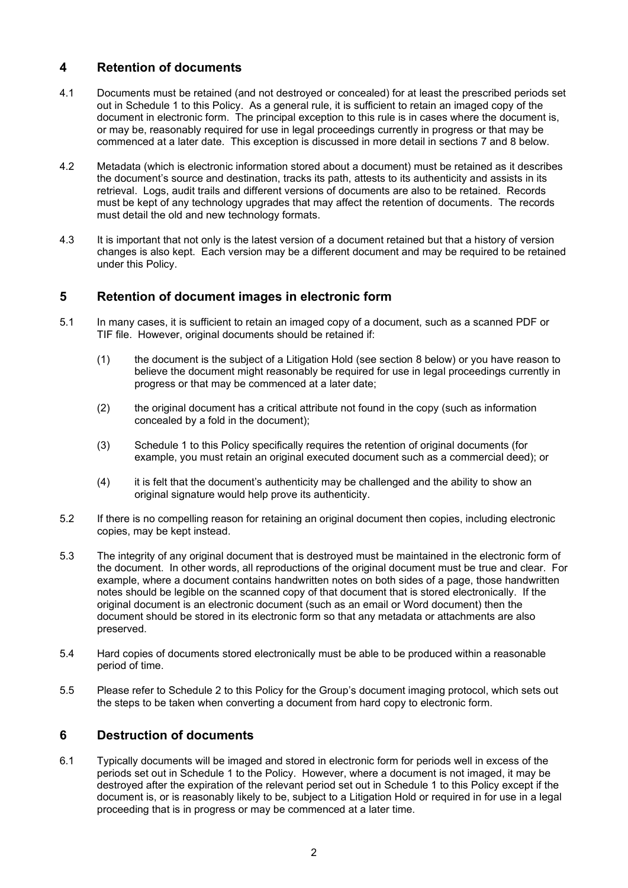#### **4 Retention of documents**

- 4.1 Documents must be retained (and not destroyed or concealed) for at least the prescribed periods set out in [Schedule](#page-3-0) 1 to this Policy. As a general rule, it is sufficient to retain an imaged copy of the document in electronic form. The principal exception to this rule is in cases where the document is, or may be, reasonably required for use in legal proceedings currently in progress or that may be commenced at a later date. This exception is discussed in more detail in sections [7](#page-2-1) and [8](#page-2-0) below.
- 4.2 Metadata (which is electronic information stored about a document) must be retained as it describes the document's source and destination, tracks its path, attests to its authenticity and assists in its retrieval. Logs, audit trails and different versions of documents are also to be retained. Records must be kept of any technology upgrades that may affect the retention of documents. The records must detail the old and new technology formats.
- 4.3 It is important that not only is the latest version of a document retained but that a history of version changes is also kept. Each version may be a different document and may be required to be retained under this Policy.

#### **5 Retention of document images in electronic form**

- 5.1 In many cases, it is sufficient to retain an imaged copy of a document, such as a scanned PDF or TIF file. However, original documents should be retained if:
	- (1) the document is the subject of a Litigation Hold (see section [8](#page-2-0) below) or you have reason to believe the document might reasonably be required for use in legal proceedings currently in progress or that may be commenced at a later date;
	- (2) the original document has a critical attribute not found in the copy (such as information concealed by a fold in the document);
	- (3) [Schedule](#page-3-0) 1 to this Policy specifically requires the retention of original documents (for example, you must retain an original executed document such as a commercial deed); or
	- (4) it is felt that the document's authenticity may be challenged and the ability to show an original signature would help prove its authenticity.
- 5.2 If there is no compelling reason for retaining an original document then copies, including electronic copies, may be kept instead.
- 5.3 The integrity of any original document that is destroyed must be maintained in the electronic form of the document. In other words, all reproductions of the original document must be true and clear. For example, where a document contains handwritten notes on both sides of a page, those handwritten notes should be legible on the scanned copy of that document that is stored electronically. If the original document is an electronic document (such as an email or Word document) then the document should be stored in its electronic form so that any metadata or attachments are also preserved.
- 5.4 Hard copies of documents stored electronically must be able to be produced within a reasonable period of time.
- 5.5 Please refer to [Schedule](#page-18-0) 2 to this Policy for the Group's document imaging protocol, which sets out the steps to be taken when converting a document from hard copy to electronic form.

#### **6 Destruction of documents**

6.1 Typically documents will be imaged and stored in electronic form for periods well in excess of the periods set out in [Schedule](#page-3-0) 1 to the Policy. However, where a document is not imaged, it may be destroyed after the expiration of the relevant period set out in [Schedule](#page-3-0) 1 to this Policy except if the document is, or is reasonably likely to be, subject to a Litigation Hold or required in for use in a legal proceeding that is in progress or may be commenced at a later time.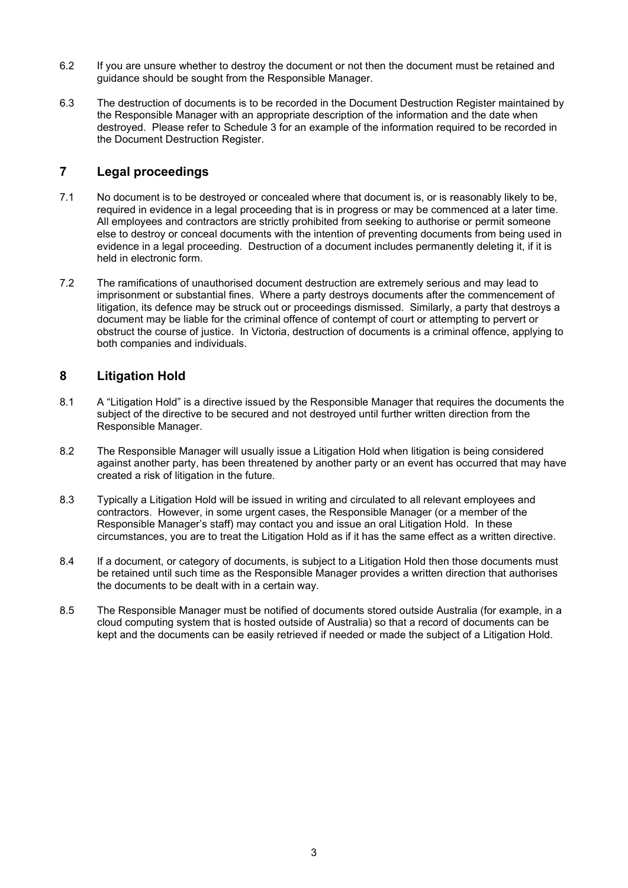- 6.2 If you are unsure whether to destroy the document or not then the document must be retained and guidance should be sought from the Responsible Manager.
- 6.3 The destruction of documents is to be recorded in the Document Destruction Register maintained by the Responsible Manager with an appropriate description of the information and the date when destroyed. Please refer to [Schedule](#page-19-0) 3 for an example of the information required to be recorded in the Document Destruction Register.

#### <span id="page-2-1"></span>**7 Legal proceedings**

- 7.1 No document is to be destroyed or concealed where that document is, or is reasonably likely to be, required in evidence in a legal proceeding that is in progress or may be commenced at a later time. All employees and contractors are strictly prohibited from seeking to authorise or permit someone else to destroy or conceal documents with the intention of preventing documents from being used in evidence in a legal proceeding. Destruction of a document includes permanently deleting it, if it is held in electronic form.
- 7.2 The ramifications of unauthorised document destruction are extremely serious and may lead to imprisonment or substantial fines. Where a party destroys documents after the commencement of litigation, its defence may be struck out or proceedings dismissed. Similarly, a party that destroys a document may be liable for the criminal offence of contempt of court or attempting to pervert or obstruct the course of justice. In Victoria, destruction of documents is a criminal offence, applying to both companies and individuals.

#### <span id="page-2-0"></span>**8 Litigation Hold**

- 8.1 A "Litigation Hold" is a directive issued by the Responsible Manager that requires the documents the subject of the directive to be secured and not destroyed until further written direction from the Responsible Manager.
- 8.2 The Responsible Manager will usually issue a Litigation Hold when litigation is being considered against another party, has been threatened by another party or an event has occurred that may have created a risk of litigation in the future.
- 8.3 Typically a Litigation Hold will be issued in writing and circulated to all relevant employees and contractors. However, in some urgent cases, the Responsible Manager (or a member of the Responsible Manager's staff) may contact you and issue an oral Litigation Hold. In these circumstances, you are to treat the Litigation Hold as if it has the same effect as a written directive.
- 8.4 If a document, or category of documents, is subject to a Litigation Hold then those documents must be retained until such time as the Responsible Manager provides a written direction that authorises the documents to be dealt with in a certain way.
- 8.5 The Responsible Manager must be notified of documents stored outside Australia (for example, in a cloud computing system that is hosted outside of Australia) so that a record of documents can be kept and the documents can be easily retrieved if needed or made the subject of a Litigation Hold.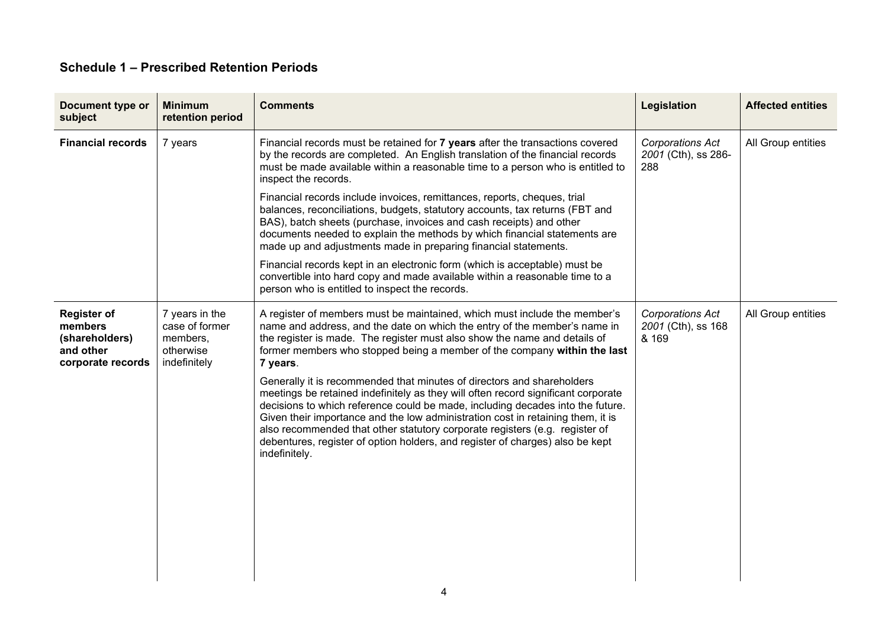### **Schedule 1 – Prescribed Retention Periods**

<span id="page-3-0"></span>

| Document type or<br>subject                                                       | <b>Minimum</b><br>retention period                                        | <b>Comments</b>                                                                                                                                                                                                                                                                                                                                                                                                                                                                                                                                                                                                                                                                                                                                                                                                                                  | Legislation                                           | <b>Affected entities</b> |
|-----------------------------------------------------------------------------------|---------------------------------------------------------------------------|--------------------------------------------------------------------------------------------------------------------------------------------------------------------------------------------------------------------------------------------------------------------------------------------------------------------------------------------------------------------------------------------------------------------------------------------------------------------------------------------------------------------------------------------------------------------------------------------------------------------------------------------------------------------------------------------------------------------------------------------------------------------------------------------------------------------------------------------------|-------------------------------------------------------|--------------------------|
| <b>Financial records</b>                                                          | 7 years                                                                   | Financial records must be retained for 7 years after the transactions covered<br>by the records are completed. An English translation of the financial records<br>must be made available within a reasonable time to a person who is entitled to<br>inspect the records.                                                                                                                                                                                                                                                                                                                                                                                                                                                                                                                                                                         | <b>Corporations Act</b><br>2001 (Cth), ss 286-<br>288 | All Group entities       |
|                                                                                   |                                                                           | Financial records include invoices, remittances, reports, cheques, trial<br>balances, reconciliations, budgets, statutory accounts, tax returns (FBT and<br>BAS), batch sheets (purchase, invoices and cash receipts) and other<br>documents needed to explain the methods by which financial statements are<br>made up and adjustments made in preparing financial statements.                                                                                                                                                                                                                                                                                                                                                                                                                                                                  |                                                       |                          |
|                                                                                   |                                                                           | Financial records kept in an electronic form (which is acceptable) must be<br>convertible into hard copy and made available within a reasonable time to a<br>person who is entitled to inspect the records.                                                                                                                                                                                                                                                                                                                                                                                                                                                                                                                                                                                                                                      |                                                       |                          |
| <b>Register of</b><br>members<br>(shareholders)<br>and other<br>corporate records | 7 years in the<br>case of former<br>members,<br>otherwise<br>indefinitely | A register of members must be maintained, which must include the member's<br>name and address, and the date on which the entry of the member's name in<br>the register is made. The register must also show the name and details of<br>former members who stopped being a member of the company within the last<br>7 years.<br>Generally it is recommended that minutes of directors and shareholders<br>meetings be retained indefinitely as they will often record significant corporate<br>decisions to which reference could be made, including decades into the future.<br>Given their importance and the low administration cost in retaining them, it is<br>also recommended that other statutory corporate registers (e.g. register of<br>debentures, register of option holders, and register of charges) also be kept<br>indefinitely. | Corporations Act<br>2001 (Cth), ss 168<br>& 169       | All Group entities       |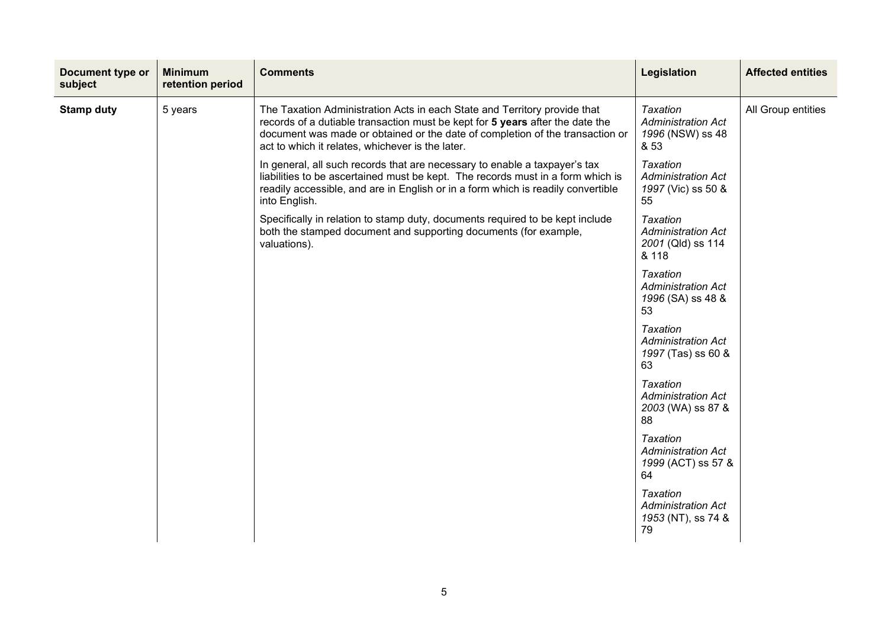| Document type or<br>subject | <b>Minimum</b><br>retention period | <b>Comments</b>                                                                                                                                                                                                                                                                                 | Legislation                                                                | <b>Affected entities</b> |
|-----------------------------|------------------------------------|-------------------------------------------------------------------------------------------------------------------------------------------------------------------------------------------------------------------------------------------------------------------------------------------------|----------------------------------------------------------------------------|--------------------------|
| <b>Stamp duty</b>           | 5 years                            | The Taxation Administration Acts in each State and Territory provide that<br>records of a dutiable transaction must be kept for 5 years after the date the<br>document was made or obtained or the date of completion of the transaction or<br>act to which it relates, whichever is the later. | <b>Taxation</b><br><b>Administration Act</b><br>1996 (NSW) ss 48<br>& 53   | All Group entities       |
|                             |                                    | In general, all such records that are necessary to enable a taxpayer's tax<br>liabilities to be ascertained must be kept. The records must in a form which is<br>readily accessible, and are in English or in a form which is readily convertible<br>into English.                              | <b>Taxation</b><br><b>Administration Act</b><br>1997 (Vic) ss 50 &<br>55   |                          |
|                             |                                    | Specifically in relation to stamp duty, documents required to be kept include<br>both the stamped document and supporting documents (for example,<br>valuations).                                                                                                                               | <b>Taxation</b><br><b>Administration Act</b><br>2001 (Qld) ss 114<br>& 118 |                          |
|                             |                                    |                                                                                                                                                                                                                                                                                                 | <b>Taxation</b><br><b>Administration Act</b><br>1996 (SA) ss 48 &<br>53    |                          |
|                             |                                    |                                                                                                                                                                                                                                                                                                 | <b>Taxation</b><br><b>Administration Act</b><br>1997 (Tas) ss 60 &<br>63   |                          |
|                             |                                    |                                                                                                                                                                                                                                                                                                 | <b>Taxation</b><br><b>Administration Act</b><br>2003 (WA) ss 87 &<br>88    |                          |
|                             |                                    |                                                                                                                                                                                                                                                                                                 | <b>Taxation</b><br><b>Administration Act</b><br>1999 (ACT) ss 57 &<br>64   |                          |
|                             |                                    |                                                                                                                                                                                                                                                                                                 | Taxation<br><b>Administration Act</b><br>1953 (NT), ss 74 &<br>79          |                          |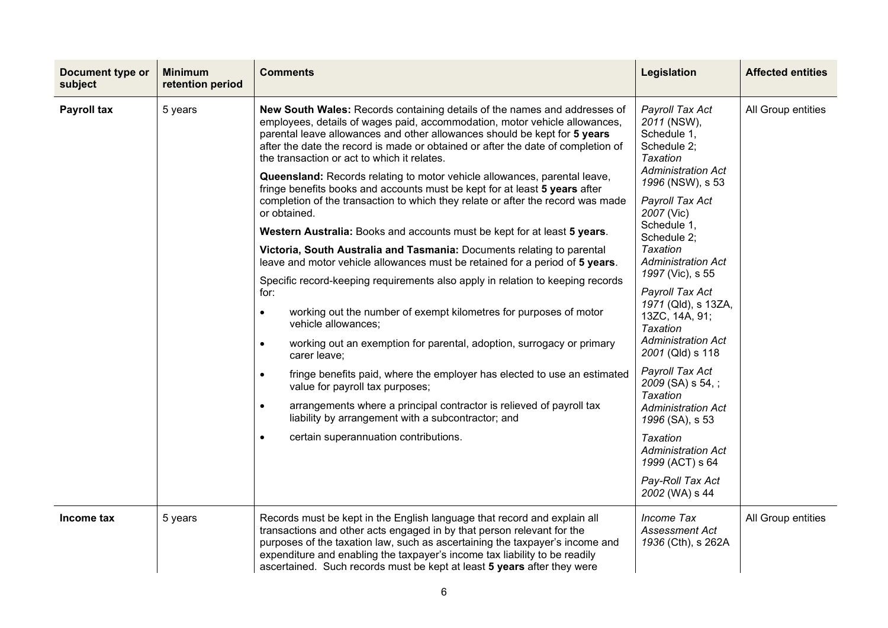| Document type or<br>subject | <b>Minimum</b><br>retention period | <b>Comments</b>                                                                                                                                                                                                                                                                                                                                                                                                                                                                                                                                                                                                                                                                                                                                                                                                                                                                                                                                                                                                                                                                                                                                                                                                                                                                                                                                                                                                                                                                                                   | Legislation                                                                                                                                                                                                                                                                                                                                                                                                                                                                                                                                                                                        | <b>Affected entities</b> |
|-----------------------------|------------------------------------|-------------------------------------------------------------------------------------------------------------------------------------------------------------------------------------------------------------------------------------------------------------------------------------------------------------------------------------------------------------------------------------------------------------------------------------------------------------------------------------------------------------------------------------------------------------------------------------------------------------------------------------------------------------------------------------------------------------------------------------------------------------------------------------------------------------------------------------------------------------------------------------------------------------------------------------------------------------------------------------------------------------------------------------------------------------------------------------------------------------------------------------------------------------------------------------------------------------------------------------------------------------------------------------------------------------------------------------------------------------------------------------------------------------------------------------------------------------------------------------------------------------------|----------------------------------------------------------------------------------------------------------------------------------------------------------------------------------------------------------------------------------------------------------------------------------------------------------------------------------------------------------------------------------------------------------------------------------------------------------------------------------------------------------------------------------------------------------------------------------------------------|--------------------------|
| Payroll tax                 | 5 years                            | New South Wales: Records containing details of the names and addresses of<br>employees, details of wages paid, accommodation, motor vehicle allowances,<br>parental leave allowances and other allowances should be kept for 5 years<br>after the date the record is made or obtained or after the date of completion of<br>the transaction or act to which it relates.<br>Queensland: Records relating to motor vehicle allowances, parental leave,<br>fringe benefits books and accounts must be kept for at least 5 years after<br>completion of the transaction to which they relate or after the record was made<br>or obtained.<br>Western Australia: Books and accounts must be kept for at least 5 years.<br>Victoria, South Australia and Tasmania: Documents relating to parental<br>leave and motor vehicle allowances must be retained for a period of 5 years.<br>Specific record-keeping requirements also apply in relation to keeping records<br>for:<br>working out the number of exempt kilometres for purposes of motor<br>$\bullet$<br>vehicle allowances;<br>working out an exemption for parental, adoption, surrogacy or primary<br>$\bullet$<br>carer leave;<br>fringe benefits paid, where the employer has elected to use an estimated<br>$\bullet$<br>value for payroll tax purposes;<br>arrangements where a principal contractor is relieved of payroll tax<br>$\bullet$<br>liability by arrangement with a subcontractor; and<br>certain superannuation contributions.<br>$\bullet$ | Payroll Tax Act<br>2011 (NSW),<br>Schedule 1,<br>Schedule 2:<br><b>Taxation</b><br><b>Administration Act</b><br>1996 (NSW), s 53<br>Payroll Tax Act<br>2007 (Vic)<br>Schedule 1,<br>Schedule 2;<br>Taxation<br><b>Administration Act</b><br>1997 (Vic), s 55<br>Payroll Tax Act<br>1971 (Qld), s 13ZA,<br>13ZC, 14A, 91;<br>Taxation<br><b>Administration Act</b><br>2001 (Qld) s 118<br>Payroll Tax Act<br>2009 (SA) s 54, ;<br>Taxation<br><b>Administration Act</b><br>1996 (SA), s 53<br><b>Taxation</b><br><b>Administration Act</b><br>1999 (ACT) s 64<br>Pay-Roll Tax Act<br>2002 (WA) s 44 | All Group entities       |
| Income tax                  | 5 years                            | Records must be kept in the English language that record and explain all<br>transactions and other acts engaged in by that person relevant for the<br>purposes of the taxation law, such as ascertaining the taxpayer's income and<br>expenditure and enabling the taxpayer's income tax liability to be readily<br>ascertained. Such records must be kept at least 5 years after they were                                                                                                                                                                                                                                                                                                                                                                                                                                                                                                                                                                                                                                                                                                                                                                                                                                                                                                                                                                                                                                                                                                                       | <b>Income Tax</b><br>Assessment Act<br>1936 (Cth), s 262A                                                                                                                                                                                                                                                                                                                                                                                                                                                                                                                                          | All Group entities       |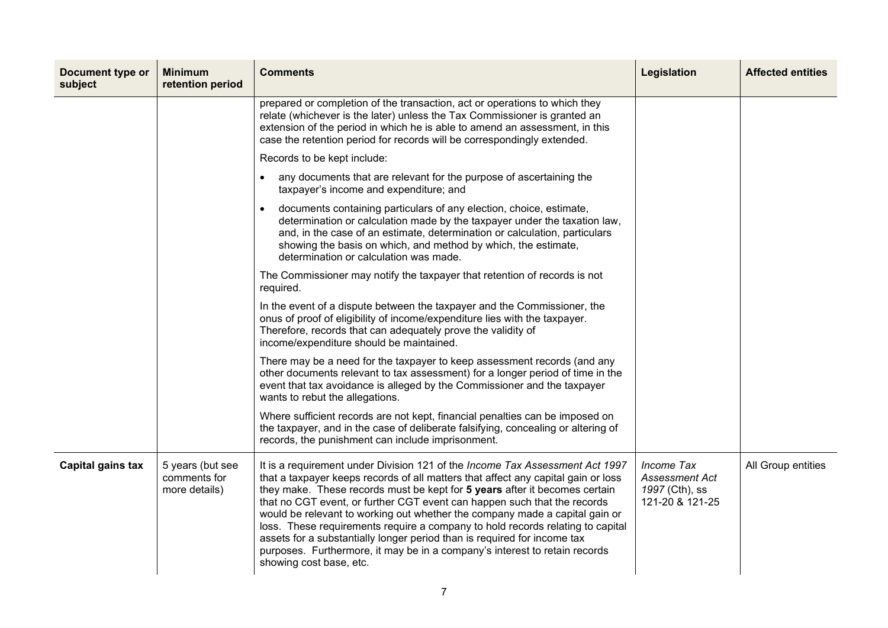| Document type or<br>subject | <b>Minimum</b><br>retention period                | <b>Comments</b>                                                                                                                                                                                                                                                                                                                                                                                                                                                                                                                                                                                                                                                                   | Legislation                                                              | <b>Affected entities</b> |
|-----------------------------|---------------------------------------------------|-----------------------------------------------------------------------------------------------------------------------------------------------------------------------------------------------------------------------------------------------------------------------------------------------------------------------------------------------------------------------------------------------------------------------------------------------------------------------------------------------------------------------------------------------------------------------------------------------------------------------------------------------------------------------------------|--------------------------------------------------------------------------|--------------------------|
|                             |                                                   | prepared or completion of the transaction, act or operations to which they<br>relate (whichever is the later) unless the Tax Commissioner is granted an<br>extension of the period in which he is able to amend an assessment, in this<br>case the retention period for records will be correspondingly extended.                                                                                                                                                                                                                                                                                                                                                                 |                                                                          |                          |
|                             |                                                   | Records to be kept include:                                                                                                                                                                                                                                                                                                                                                                                                                                                                                                                                                                                                                                                       |                                                                          |                          |
|                             |                                                   | any documents that are relevant for the purpose of ascertaining the<br>taxpayer's income and expenditure; and                                                                                                                                                                                                                                                                                                                                                                                                                                                                                                                                                                     |                                                                          |                          |
|                             |                                                   | documents containing particulars of any election, choice, estimate,<br>determination or calculation made by the taxpayer under the taxation law,<br>and, in the case of an estimate, determination or calculation, particulars<br>showing the basis on which, and method by which, the estimate,<br>determination or calculation was made.                                                                                                                                                                                                                                                                                                                                        |                                                                          |                          |
|                             |                                                   | The Commissioner may notify the taxpayer that retention of records is not<br>required.                                                                                                                                                                                                                                                                                                                                                                                                                                                                                                                                                                                            |                                                                          |                          |
|                             |                                                   | In the event of a dispute between the taxpayer and the Commissioner, the<br>onus of proof of eligibility of income/expenditure lies with the taxpayer.<br>Therefore, records that can adequately prove the validity of<br>income/expenditure should be maintained.                                                                                                                                                                                                                                                                                                                                                                                                                |                                                                          |                          |
|                             |                                                   | There may be a need for the taxpayer to keep assessment records (and any<br>other documents relevant to tax assessment) for a longer period of time in the<br>event that tax avoidance is alleged by the Commissioner and the taxpayer<br>wants to rebut the allegations.                                                                                                                                                                                                                                                                                                                                                                                                         |                                                                          |                          |
|                             |                                                   | Where sufficient records are not kept, financial penalties can be imposed on<br>the taxpayer, and in the case of deliberate falsifying, concealing or altering of<br>records, the punishment can include imprisonment.                                                                                                                                                                                                                                                                                                                                                                                                                                                            |                                                                          |                          |
| Capital gains tax           | 5 years (but see<br>comments for<br>more details) | It is a requirement under Division 121 of the Income Tax Assessment Act 1997<br>that a taxpayer keeps records of all matters that affect any capital gain or loss<br>they make. These records must be kept for 5 years after it becomes certain<br>that no CGT event, or further CGT event can happen such that the records<br>would be relevant to working out whether the company made a capital gain or<br>loss. These requirements require a company to hold records relating to capital<br>assets for a substantially longer period than is required for income tax<br>purposes. Furthermore, it may be in a company's interest to retain records<br>showing cost base, etc. | Income Tax<br><b>Assessment Act</b><br>1997 (Cth), ss<br>121-20 & 121-25 | All Group entities       |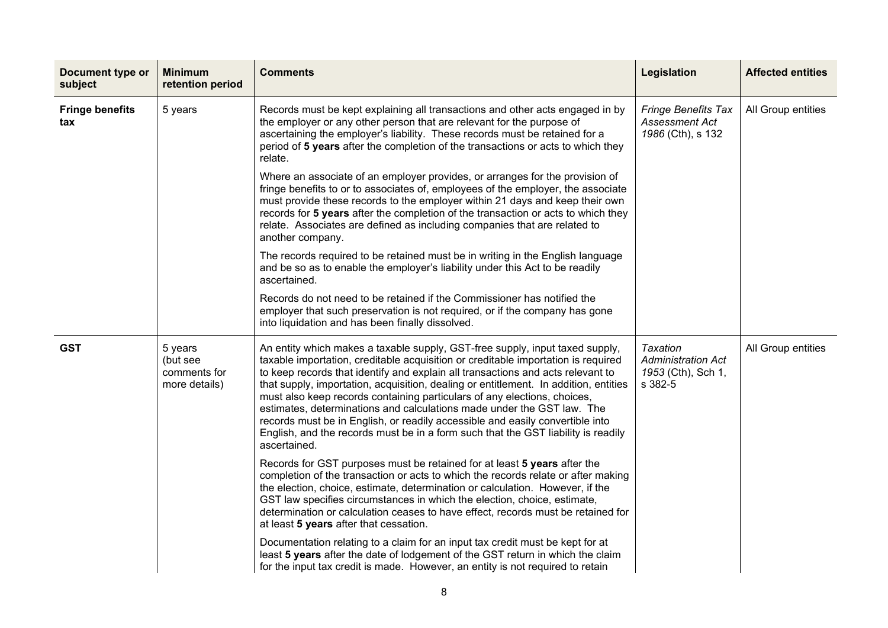| Document type or<br>subject   | <b>Minimum</b><br>retention period                   | <b>Comments</b>                                                                                                                                                                                                                                                                                                                                                                                                                                                                                                                                                                                                                                                                          | Legislation                                                                   | <b>Affected entities</b> |
|-------------------------------|------------------------------------------------------|------------------------------------------------------------------------------------------------------------------------------------------------------------------------------------------------------------------------------------------------------------------------------------------------------------------------------------------------------------------------------------------------------------------------------------------------------------------------------------------------------------------------------------------------------------------------------------------------------------------------------------------------------------------------------------------|-------------------------------------------------------------------------------|--------------------------|
| <b>Fringe benefits</b><br>tax | 5 years                                              | Records must be kept explaining all transactions and other acts engaged in by<br>the employer or any other person that are relevant for the purpose of<br>ascertaining the employer's liability. These records must be retained for a<br>period of 5 years after the completion of the transactions or acts to which they<br>relate.                                                                                                                                                                                                                                                                                                                                                     | <b>Fringe Benefits Tax</b><br><b>Assessment Act</b><br>1986 (Cth), s 132      | All Group entities       |
|                               |                                                      | Where an associate of an employer provides, or arranges for the provision of<br>fringe benefits to or to associates of, employees of the employer, the associate<br>must provide these records to the employer within 21 days and keep their own<br>records for 5 years after the completion of the transaction or acts to which they<br>relate. Associates are defined as including companies that are related to<br>another company.                                                                                                                                                                                                                                                   |                                                                               |                          |
|                               |                                                      | The records required to be retained must be in writing in the English language<br>and be so as to enable the employer's liability under this Act to be readily<br>ascertained.                                                                                                                                                                                                                                                                                                                                                                                                                                                                                                           |                                                                               |                          |
|                               |                                                      | Records do not need to be retained if the Commissioner has notified the<br>employer that such preservation is not required, or if the company has gone<br>into liquidation and has been finally dissolved.                                                                                                                                                                                                                                                                                                                                                                                                                                                                               |                                                                               |                          |
| <b>GST</b>                    | 5 years<br>(but see<br>comments for<br>more details) | An entity which makes a taxable supply, GST-free supply, input taxed supply,<br>taxable importation, creditable acquisition or creditable importation is required<br>to keep records that identify and explain all transactions and acts relevant to<br>that supply, importation, acquisition, dealing or entitlement. In addition, entities<br>must also keep records containing particulars of any elections, choices,<br>estimates, determinations and calculations made under the GST law. The<br>records must be in English, or readily accessible and easily convertible into<br>English, and the records must be in a form such that the GST liability is readily<br>ascertained. | <b>Taxation</b><br><b>Administration Act</b><br>1953 (Cth), Sch 1,<br>s 382-5 | All Group entities       |
|                               |                                                      | Records for GST purposes must be retained for at least 5 years after the<br>completion of the transaction or acts to which the records relate or after making<br>the election, choice, estimate, determination or calculation. However, if the<br>GST law specifies circumstances in which the election, choice, estimate,<br>determination or calculation ceases to have effect, records must be retained for<br>at least 5 years after that cessation.                                                                                                                                                                                                                                 |                                                                               |                          |
|                               |                                                      | Documentation relating to a claim for an input tax credit must be kept for at<br>least 5 years after the date of lodgement of the GST return in which the claim<br>for the input tax credit is made. However, an entity is not required to retain                                                                                                                                                                                                                                                                                                                                                                                                                                        |                                                                               |                          |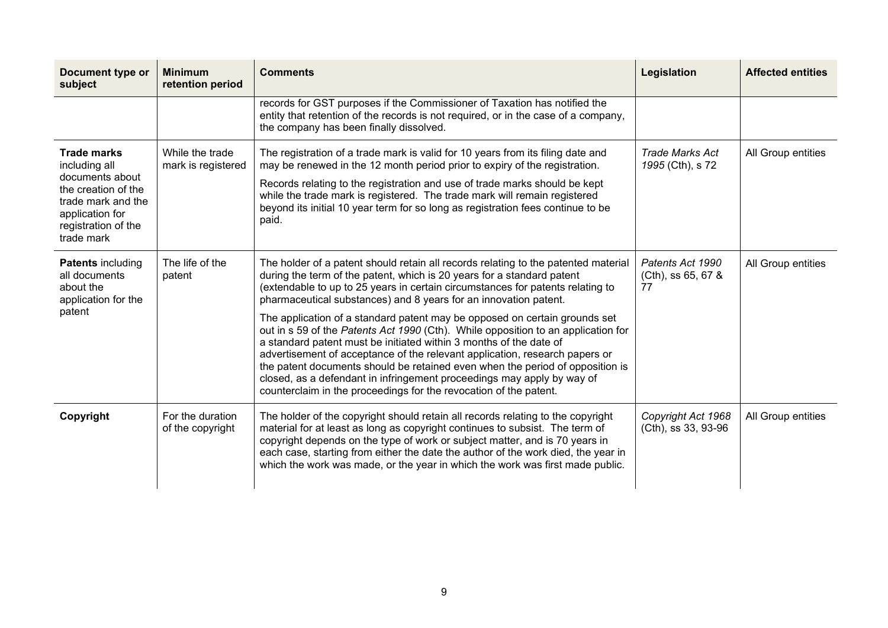| Document type or<br>subject                                                                                                                                 | <b>Minimum</b><br>retention period    | <b>Comments</b>                                                                                                                                                                                                                                                                                                                                                                                                                                                                                                                                                                                                                                                                                                                                                                                                                                                            | Legislation                                  | <b>Affected entities</b> |
|-------------------------------------------------------------------------------------------------------------------------------------------------------------|---------------------------------------|----------------------------------------------------------------------------------------------------------------------------------------------------------------------------------------------------------------------------------------------------------------------------------------------------------------------------------------------------------------------------------------------------------------------------------------------------------------------------------------------------------------------------------------------------------------------------------------------------------------------------------------------------------------------------------------------------------------------------------------------------------------------------------------------------------------------------------------------------------------------------|----------------------------------------------|--------------------------|
|                                                                                                                                                             |                                       | records for GST purposes if the Commissioner of Taxation has notified the<br>entity that retention of the records is not required, or in the case of a company,<br>the company has been finally dissolved.                                                                                                                                                                                                                                                                                                                                                                                                                                                                                                                                                                                                                                                                 |                                              |                          |
| <b>Trade marks</b><br>including all<br>documents about<br>the creation of the<br>trade mark and the<br>application for<br>registration of the<br>trade mark | While the trade<br>mark is registered | The registration of a trade mark is valid for 10 years from its filing date and<br>may be renewed in the 12 month period prior to expiry of the registration.<br>Records relating to the registration and use of trade marks should be kept<br>while the trade mark is registered. The trade mark will remain registered<br>beyond its initial 10 year term for so long as registration fees continue to be<br>paid.                                                                                                                                                                                                                                                                                                                                                                                                                                                       | <b>Trade Marks Act</b><br>1995 (Cth), s 72   | All Group entities       |
| <b>Patents including</b><br>all documents<br>about the<br>application for the<br>patent                                                                     | The life of the<br>patent             | The holder of a patent should retain all records relating to the patented material<br>during the term of the patent, which is 20 years for a standard patent<br>(extendable to up to 25 years in certain circumstances for patents relating to<br>pharmaceutical substances) and 8 years for an innovation patent.<br>The application of a standard patent may be opposed on certain grounds set<br>out in s 59 of the Patents Act 1990 (Cth). While opposition to an application for<br>a standard patent must be initiated within 3 months of the date of<br>advertisement of acceptance of the relevant application, research papers or<br>the patent documents should be retained even when the period of opposition is<br>closed, as a defendant in infringement proceedings may apply by way of<br>counterclaim in the proceedings for the revocation of the patent. | Patents Act 1990<br>(Cth), ss 65, 67 &<br>77 | All Group entities       |
| Copyright                                                                                                                                                   | For the duration<br>of the copyright  | The holder of the copyright should retain all records relating to the copyright<br>material for at least as long as copyright continues to subsist. The term of<br>copyright depends on the type of work or subject matter, and is 70 years in<br>each case, starting from either the date the author of the work died, the year in<br>which the work was made, or the year in which the work was first made public.                                                                                                                                                                                                                                                                                                                                                                                                                                                       | Copyright Act 1968<br>(Cth), ss 33, 93-96    | All Group entities       |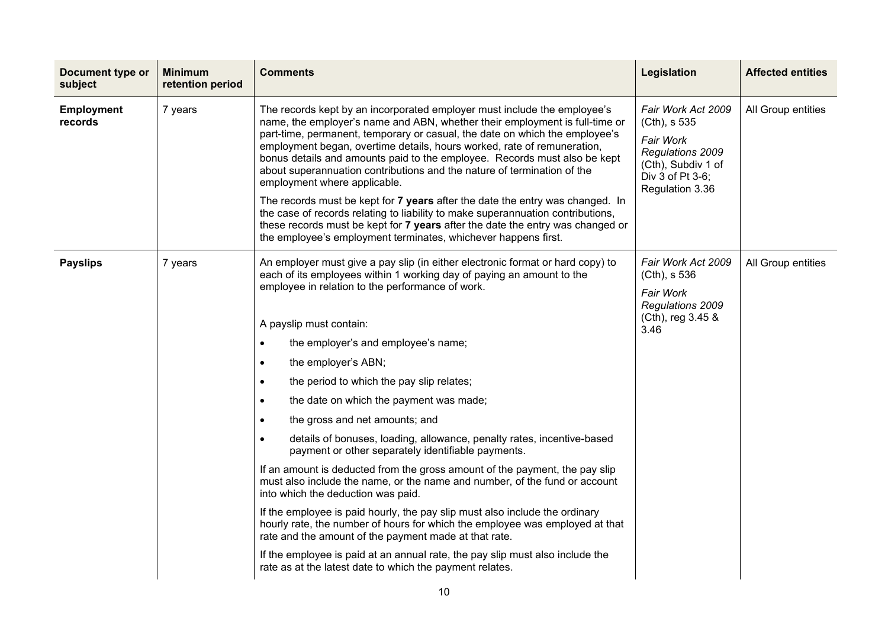| Document type or<br>subject  | <b>Minimum</b><br>retention period | <b>Comments</b>                                                                                                                                                                                                                                                                                                                                                                                                                                                                                                                                                                                                                                                                                                                                                                                                                                                                                                                                                                                                                                                                                                                                                                                                      | <b>Legislation</b>                                                                                                               | <b>Affected entities</b> |
|------------------------------|------------------------------------|----------------------------------------------------------------------------------------------------------------------------------------------------------------------------------------------------------------------------------------------------------------------------------------------------------------------------------------------------------------------------------------------------------------------------------------------------------------------------------------------------------------------------------------------------------------------------------------------------------------------------------------------------------------------------------------------------------------------------------------------------------------------------------------------------------------------------------------------------------------------------------------------------------------------------------------------------------------------------------------------------------------------------------------------------------------------------------------------------------------------------------------------------------------------------------------------------------------------|----------------------------------------------------------------------------------------------------------------------------------|--------------------------|
| <b>Employment</b><br>records | 7 years                            | The records kept by an incorporated employer must include the employee's<br>name, the employer's name and ABN, whether their employment is full-time or<br>part-time, permanent, temporary or casual, the date on which the employee's<br>employment began, overtime details, hours worked, rate of remuneration,<br>bonus details and amounts paid to the employee. Records must also be kept<br>about superannuation contributions and the nature of termination of the<br>employment where applicable.<br>The records must be kept for 7 years after the date the entry was changed. In<br>the case of records relating to liability to make superannuation contributions,<br>these records must be kept for 7 years after the date the entry was changed or<br>the employee's employment terminates, whichever happens first.                                                                                                                                                                                                                                                                                                                                                                                    | Fair Work Act 2009<br>(Cth), s 535<br>Fair Work<br>Regulations 2009<br>(Cth), Subdiv 1 of<br>Div 3 of Pt 3-6;<br>Regulation 3.36 | All Group entities       |
| <b>Payslips</b>              | 7 years                            | An employer must give a pay slip (in either electronic format or hard copy) to<br>each of its employees within 1 working day of paying an amount to the<br>employee in relation to the performance of work.<br>A payslip must contain:<br>the employer's and employee's name;<br>$\bullet$<br>the employer's ABN;<br>$\bullet$<br>the period to which the pay slip relates;<br>$\bullet$<br>the date on which the payment was made;<br>$\bullet$<br>the gross and net amounts; and<br>$\bullet$<br>details of bonuses, loading, allowance, penalty rates, incentive-based<br>$\bullet$<br>payment or other separately identifiable payments.<br>If an amount is deducted from the gross amount of the payment, the pay slip<br>must also include the name, or the name and number, of the fund or account<br>into which the deduction was paid.<br>If the employee is paid hourly, the pay slip must also include the ordinary<br>hourly rate, the number of hours for which the employee was employed at that<br>rate and the amount of the payment made at that rate.<br>If the employee is paid at an annual rate, the pay slip must also include the<br>rate as at the latest date to which the payment relates. | Fair Work Act 2009<br>(Cth), s 536<br>Fair Work<br>Regulations 2009<br>(Cth), reg 3.45 &<br>3.46                                 | All Group entities       |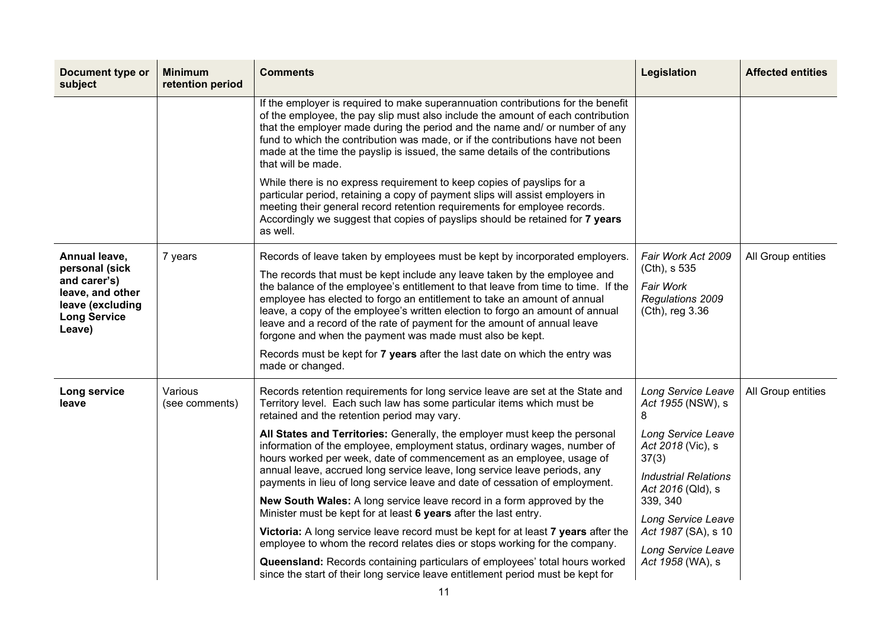| <b>Document type or</b><br>subject                                                                                       | <b>Minimum</b><br>retention period | <b>Comments</b>                                                                                                                                                                                                                                                                                                                                                                                                                                                                                                                                                                                                                                                                                                                                                                                                                                                                                                                                                                                                                                                                           | Legislation                                                                                                                                                                                                                                             | <b>Affected entities</b> |
|--------------------------------------------------------------------------------------------------------------------------|------------------------------------|-------------------------------------------------------------------------------------------------------------------------------------------------------------------------------------------------------------------------------------------------------------------------------------------------------------------------------------------------------------------------------------------------------------------------------------------------------------------------------------------------------------------------------------------------------------------------------------------------------------------------------------------------------------------------------------------------------------------------------------------------------------------------------------------------------------------------------------------------------------------------------------------------------------------------------------------------------------------------------------------------------------------------------------------------------------------------------------------|---------------------------------------------------------------------------------------------------------------------------------------------------------------------------------------------------------------------------------------------------------|--------------------------|
|                                                                                                                          |                                    | If the employer is required to make superannuation contributions for the benefit<br>of the employee, the pay slip must also include the amount of each contribution<br>that the employer made during the period and the name and/ or number of any<br>fund to which the contribution was made, or if the contributions have not been<br>made at the time the payslip is issued, the same details of the contributions<br>that will be made.                                                                                                                                                                                                                                                                                                                                                                                                                                                                                                                                                                                                                                               |                                                                                                                                                                                                                                                         |                          |
|                                                                                                                          |                                    | While there is no express requirement to keep copies of payslips for a<br>particular period, retaining a copy of payment slips will assist employers in<br>meeting their general record retention requirements for employee records.<br>Accordingly we suggest that copies of payslips should be retained for 7 years<br>as well.                                                                                                                                                                                                                                                                                                                                                                                                                                                                                                                                                                                                                                                                                                                                                         |                                                                                                                                                                                                                                                         |                          |
| Annual leave,<br>personal (sick<br>and carer's)<br>leave, and other<br>leave (excluding<br><b>Long Service</b><br>Leave) | 7 years                            | Records of leave taken by employees must be kept by incorporated employers.<br>The records that must be kept include any leave taken by the employee and<br>the balance of the employee's entitlement to that leave from time to time. If the<br>employee has elected to forgo an entitlement to take an amount of annual<br>leave, a copy of the employee's written election to forgo an amount of annual<br>leave and a record of the rate of payment for the amount of annual leave<br>forgone and when the payment was made must also be kept.<br>Records must be kept for 7 years after the last date on which the entry was<br>made or changed.                                                                                                                                                                                                                                                                                                                                                                                                                                     | Fair Work Act 2009<br>(Cth), s 535<br>Fair Work<br>Regulations 2009<br>(Cth), reg 3.36                                                                                                                                                                  | All Group entities       |
| Long service<br>leave                                                                                                    | Various<br>(see comments)          | Records retention requirements for long service leave are set at the State and<br>Territory level. Each such law has some particular items which must be<br>retained and the retention period may vary.<br>All States and Territories: Generally, the employer must keep the personal<br>information of the employee, employment status, ordinary wages, number of<br>hours worked per week, date of commencement as an employee, usage of<br>annual leave, accrued long service leave, long service leave periods, any<br>payments in lieu of long service leave and date of cessation of employment.<br>New South Wales: A long service leave record in a form approved by the<br>Minister must be kept for at least 6 years after the last entry.<br>Victoria: A long service leave record must be kept for at least 7 years after the<br>employee to whom the record relates dies or stops working for the company.<br>Queensland: Records containing particulars of employees' total hours worked<br>since the start of their long service leave entitlement period must be kept for | Long Service Leave<br>Act 1955 (NSW), s<br>8<br>Long Service Leave<br>Act 2018 (Vic), s<br>37(3)<br><b>Industrial Relations</b><br>Act 2016 (Qld), s<br>339, 340<br>Long Service Leave<br>Act 1987 (SA), s 10<br>Long Service Leave<br>Act 1958 (WA), s | All Group entities       |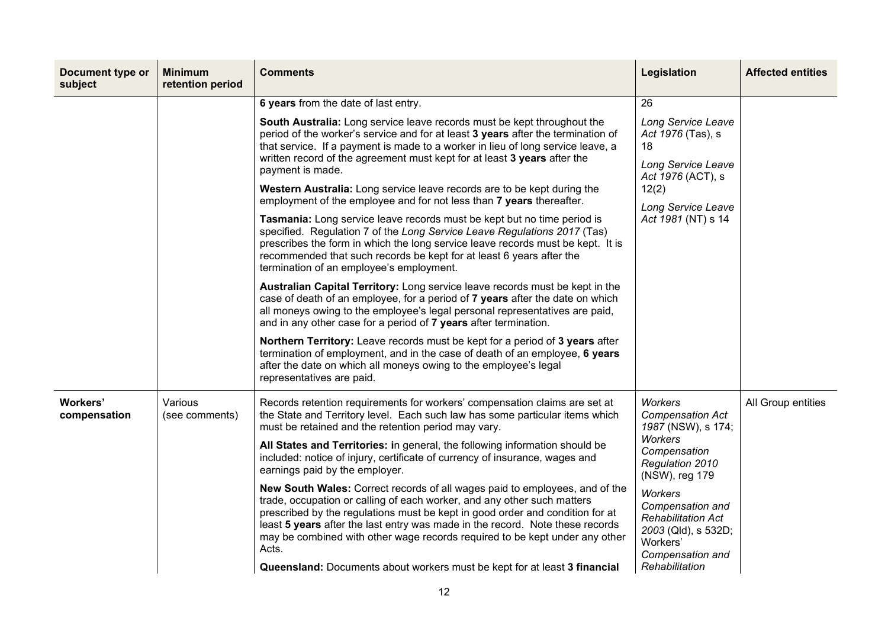| Document type or<br>subject | <b>Minimum</b><br>retention period | <b>Comments</b>                                                                                                                                                                                                                                                                                                                                                                                                                                                                                                                                                                                                                                                                                                                                                                                                                                                                                                                                                                                                                                                                                                                                                                                                                                                                                                                                                                                                                                                                             | Legislation                                                                                                                                                                                                                                                                        | <b>Affected entities</b> |
|-----------------------------|------------------------------------|---------------------------------------------------------------------------------------------------------------------------------------------------------------------------------------------------------------------------------------------------------------------------------------------------------------------------------------------------------------------------------------------------------------------------------------------------------------------------------------------------------------------------------------------------------------------------------------------------------------------------------------------------------------------------------------------------------------------------------------------------------------------------------------------------------------------------------------------------------------------------------------------------------------------------------------------------------------------------------------------------------------------------------------------------------------------------------------------------------------------------------------------------------------------------------------------------------------------------------------------------------------------------------------------------------------------------------------------------------------------------------------------------------------------------------------------------------------------------------------------|------------------------------------------------------------------------------------------------------------------------------------------------------------------------------------------------------------------------------------------------------------------------------------|--------------------------|
|                             |                                    | 6 years from the date of last entry.<br>South Australia: Long service leave records must be kept throughout the<br>period of the worker's service and for at least 3 years after the termination of<br>that service. If a payment is made to a worker in lieu of long service leave, a<br>written record of the agreement must kept for at least 3 years after the<br>payment is made.<br>Western Australia: Long service leave records are to be kept during the<br>employment of the employee and for not less than 7 years thereafter.<br>Tasmania: Long service leave records must be kept but no time period is<br>specified. Regulation 7 of the Long Service Leave Regulations 2017 (Tas)<br>prescribes the form in which the long service leave records must be kept. It is<br>recommended that such records be kept for at least 6 years after the<br>termination of an employee's employment.<br>Australian Capital Territory: Long service leave records must be kept in the<br>case of death of an employee, for a period of 7 years after the date on which<br>all moneys owing to the employee's legal personal representatives are paid,<br>and in any other case for a period of 7 years after termination.<br>Northern Territory: Leave records must be kept for a period of 3 years after<br>termination of employment, and in the case of death of an employee, 6 years<br>after the date on which all moneys owing to the employee's legal<br>representatives are paid. | 26<br>Long Service Leave<br>Act 1976 (Tas), s<br>18<br>Long Service Leave<br>Act 1976 (ACT), s<br>12(2)<br>Long Service Leave<br>Act 1981 (NT) s 14                                                                                                                                |                          |
| Workers'<br>compensation    | Various<br>(see comments)          | Records retention requirements for workers' compensation claims are set at<br>the State and Territory level. Each such law has some particular items which<br>must be retained and the retention period may vary.<br>All States and Territories: in general, the following information should be<br>included: notice of injury, certificate of currency of insurance, wages and<br>earnings paid by the employer.<br>New South Wales: Correct records of all wages paid to employees, and of the<br>trade, occupation or calling of each worker, and any other such matters<br>prescribed by the regulations must be kept in good order and condition for at<br>least 5 years after the last entry was made in the record. Note these records<br>may be combined with other wage records required to be kept under any other<br>Acts.<br>Queensland: Documents about workers must be kept for at least 3 financial                                                                                                                                                                                                                                                                                                                                                                                                                                                                                                                                                                          | <b>Workers</b><br><b>Compensation Act</b><br>1987 (NSW), s 174;<br><b>Workers</b><br>Compensation<br>Regulation 2010<br>(NSW), reg 179<br><b>Workers</b><br>Compensation and<br><b>Rehabilitation Act</b><br>2003 (Qld), s 532D;<br>Workers'<br>Compensation and<br>Rehabilitation | All Group entities       |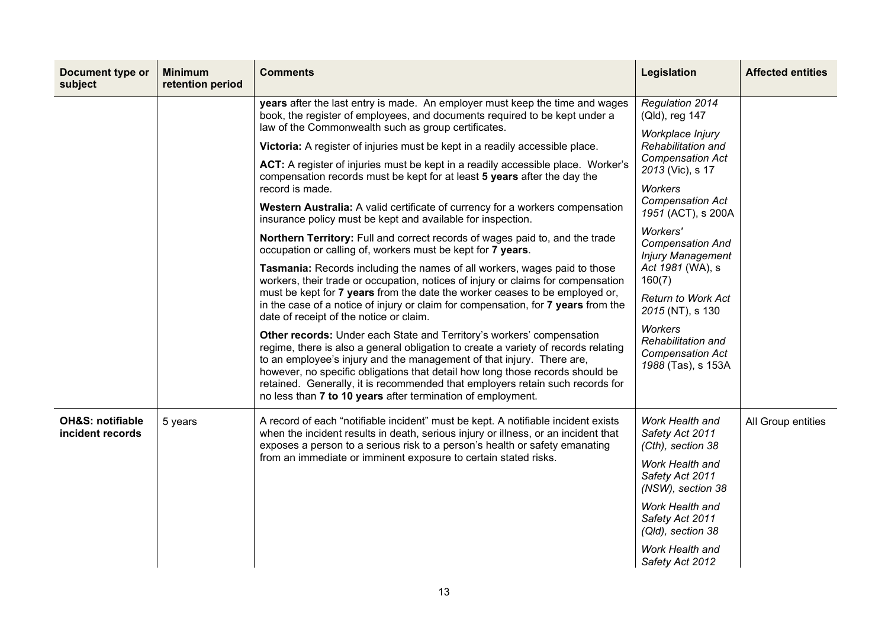| Document type or<br>subject                     | <b>Minimum</b><br>retention period | <b>Comments</b>                                                                                                                                                                                                                                                                                                                                                                                                                                                                                                                                                                                                                                                                                                                                                                                                                                                                                                                                                                                                                                                                                                                                                                                                                                                                                                                                                                                                                                                                                                                                                                                                                              | Legislation                                                                                                                                                                                                                                                                                                                                                                                                                              | <b>Affected entities</b> |
|-------------------------------------------------|------------------------------------|----------------------------------------------------------------------------------------------------------------------------------------------------------------------------------------------------------------------------------------------------------------------------------------------------------------------------------------------------------------------------------------------------------------------------------------------------------------------------------------------------------------------------------------------------------------------------------------------------------------------------------------------------------------------------------------------------------------------------------------------------------------------------------------------------------------------------------------------------------------------------------------------------------------------------------------------------------------------------------------------------------------------------------------------------------------------------------------------------------------------------------------------------------------------------------------------------------------------------------------------------------------------------------------------------------------------------------------------------------------------------------------------------------------------------------------------------------------------------------------------------------------------------------------------------------------------------------------------------------------------------------------------|------------------------------------------------------------------------------------------------------------------------------------------------------------------------------------------------------------------------------------------------------------------------------------------------------------------------------------------------------------------------------------------------------------------------------------------|--------------------------|
|                                                 |                                    | years after the last entry is made. An employer must keep the time and wages<br>book, the register of employees, and documents required to be kept under a<br>law of the Commonwealth such as group certificates.<br>Victoria: A register of injuries must be kept in a readily accessible place.<br>ACT: A register of injuries must be kept in a readily accessible place. Worker's<br>compensation records must be kept for at least 5 years after the day the<br>record is made.<br>Western Australia: A valid certificate of currency for a workers compensation<br>insurance policy must be kept and available for inspection.<br>Northern Territory: Full and correct records of wages paid to, and the trade<br>occupation or calling of, workers must be kept for 7 years.<br>Tasmania: Records including the names of all workers, wages paid to those<br>workers, their trade or occupation, notices of injury or claims for compensation<br>must be kept for 7 years from the date the worker ceases to be employed or,<br>in the case of a notice of injury or claim for compensation, for 7 years from the<br>date of receipt of the notice or claim.<br>Other records: Under each State and Territory's workers' compensation<br>regime, there is also a general obligation to create a variety of records relating<br>to an employee's injury and the management of that injury. There are,<br>however, no specific obligations that detail how long those records should be<br>retained. Generally, it is recommended that employers retain such records for<br>no less than 7 to 10 years after termination of employment. | Regulation 2014<br>(Qld), reg 147<br>Workplace Injury<br>Rehabilitation and<br><b>Compensation Act</b><br>2013 (Vic), s 17<br><b>Workers</b><br><b>Compensation Act</b><br>1951 (ACT), s 200A<br>Workers'<br><b>Compensation And</b><br><b>Injury Management</b><br>Act 1981 (WA), s<br>160(7)<br><b>Return to Work Act</b><br>2015 (NT), s 130<br><b>Workers</b><br>Rehabilitation and<br><b>Compensation Act</b><br>1988 (Tas), s 153A |                          |
| <b>OH&amp;S: notifiable</b><br>incident records | 5 years                            | A record of each "notifiable incident" must be kept. A notifiable incident exists<br>when the incident results in death, serious injury or illness, or an incident that<br>exposes a person to a serious risk to a person's health or safety emanating<br>from an immediate or imminent exposure to certain stated risks.                                                                                                                                                                                                                                                                                                                                                                                                                                                                                                                                                                                                                                                                                                                                                                                                                                                                                                                                                                                                                                                                                                                                                                                                                                                                                                                    | Work Health and<br>Safety Act 2011<br>(Cth), section 38<br>Work Health and<br>Safety Act 2011<br>(NSW), section 38<br>Work Health and<br>Safety Act 2011<br>(Qld), section 38<br>Work Health and<br>Safety Act 2012                                                                                                                                                                                                                      | All Group entities       |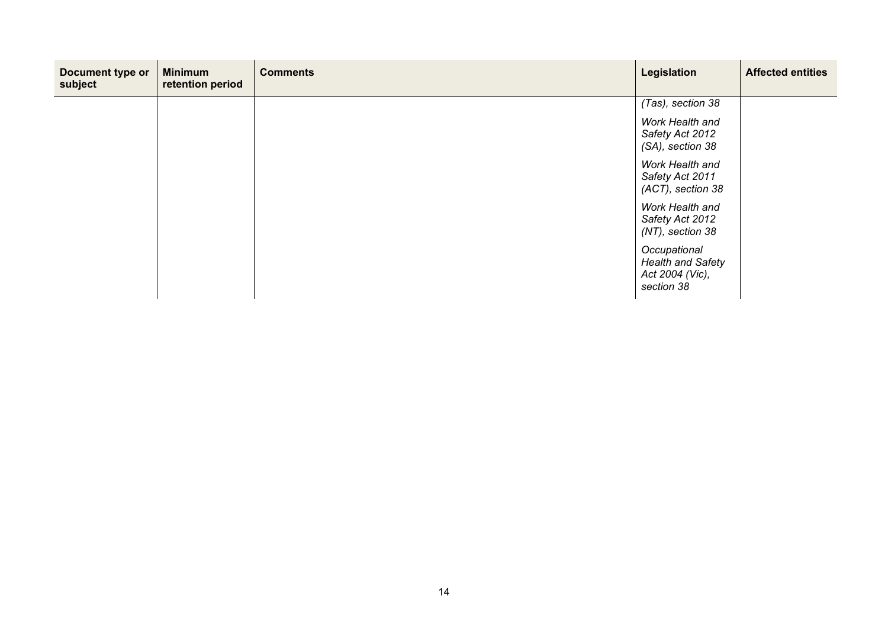| Document type or<br>subject | <b>Minimum</b><br>retention period | <b>Comments</b> | Legislation                                                               | <b>Affected entities</b> |
|-----------------------------|------------------------------------|-----------------|---------------------------------------------------------------------------|--------------------------|
|                             |                                    |                 | (Tas), section 38                                                         |                          |
|                             |                                    |                 | Work Health and<br>Safety Act 2012<br>(SA), section 38                    |                          |
|                             |                                    |                 | Work Health and<br>Safety Act 2011<br>(ACT), section 38                   |                          |
|                             |                                    |                 | Work Health and<br>Safety Act 2012<br>(NT), section 38                    |                          |
|                             |                                    |                 | Occupational<br><b>Health and Safety</b><br>Act 2004 (Vic),<br>section 38 |                          |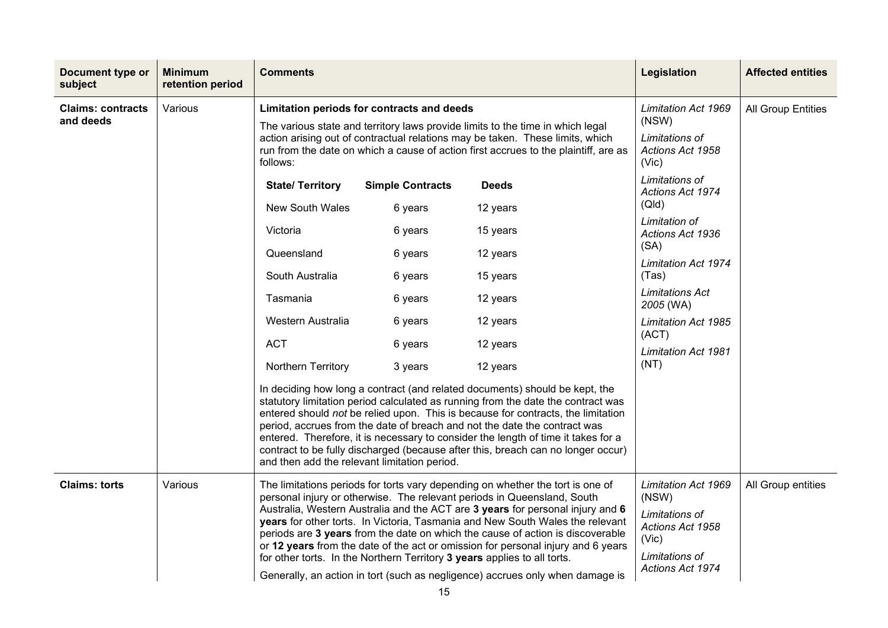| <b>Document type or</b><br>subject    | <b>Minimum</b><br>retention period | <b>Comments</b>                                                                                                                                                                                                                                                               |                                                                                                                 | Legislation                                                                                                                                                                                                                                                                                                                                                                                                                                                                                                                                                                                                                                                                                                                                                                                                                                                                         | <b>Affected entities</b>                                                                                                                                                                                                                                                                                                           |                           |
|---------------------------------------|------------------------------------|-------------------------------------------------------------------------------------------------------------------------------------------------------------------------------------------------------------------------------------------------------------------------------|-----------------------------------------------------------------------------------------------------------------|-------------------------------------------------------------------------------------------------------------------------------------------------------------------------------------------------------------------------------------------------------------------------------------------------------------------------------------------------------------------------------------------------------------------------------------------------------------------------------------------------------------------------------------------------------------------------------------------------------------------------------------------------------------------------------------------------------------------------------------------------------------------------------------------------------------------------------------------------------------------------------------|------------------------------------------------------------------------------------------------------------------------------------------------------------------------------------------------------------------------------------------------------------------------------------------------------------------------------------|---------------------------|
| <b>Claims: contracts</b><br>and deeds | Various                            | Limitation periods for contracts and deeds<br>follows:<br><b>State/ Territory</b><br><b>New South Wales</b><br>Victoria<br>Queensland<br>South Australia<br>Tasmania<br>Western Australia<br><b>ACT</b><br>Northern Territory<br>and then add the relevant limitation period. | <b>Simple Contracts</b><br>6 years<br>6 years<br>6 years<br>6 years<br>6 years<br>6 years<br>6 years<br>3 years | The various state and territory laws provide limits to the time in which legal<br>action arising out of contractual relations may be taken. These limits, which<br>run from the date on which a cause of action first accrues to the plaintiff, are as<br><b>Deeds</b><br>12 years<br>15 years<br>12 years<br>15 years<br>12 years<br>12 years<br>12 years<br>12 years<br>In deciding how long a contract (and related documents) should be kept, the<br>statutory limitation period calculated as running from the date the contract was<br>entered should not be relied upon. This is because for contracts, the limitation<br>period, accrues from the date of breach and not the date the contract was<br>entered. Therefore, it is necessary to consider the length of time it takes for a<br>contract to be fully discharged (because after this, breach can no longer occur) | Limitation Act 1969<br>(NSW)<br>Limitations of<br>Actions Act 1958<br>(Vic)<br>Limitations of<br>Actions Act 1974<br>(QId)<br>Limitation of<br>Actions Act 1936<br>(SA)<br><b>Limitation Act 1974</b><br>(Tas)<br><b>Limitations Act</b><br>2005 (WA)<br><b>Limitation Act 1985</b><br>(ACT)<br><b>Limitation Act 1981</b><br>(NT) | <b>All Group Entities</b> |
| <b>Claims: torts</b>                  | Various                            | for other torts. In the Northern Territory 3 years applies to all torts.                                                                                                                                                                                                      |                                                                                                                 | The limitations periods for torts vary depending on whether the tort is one of<br>personal injury or otherwise. The relevant periods in Queensland, South<br>Australia, Western Australia and the ACT are 3 years for personal injury and 6<br>years for other torts. In Victoria, Tasmania and New South Wales the relevant<br>periods are 3 years from the date on which the cause of action is discoverable<br>or 12 years from the date of the act or omission for personal injury and 6 years<br>Generally, an action in tort (such as negligence) accrues only when damage is                                                                                                                                                                                                                                                                                                 | <b>Limitation Act 1969</b><br>(NSW)<br>Limitations of<br>Actions Act 1958<br>(Vic)<br>Limitations of<br>Actions Act 1974                                                                                                                                                                                                           | All Group entities        |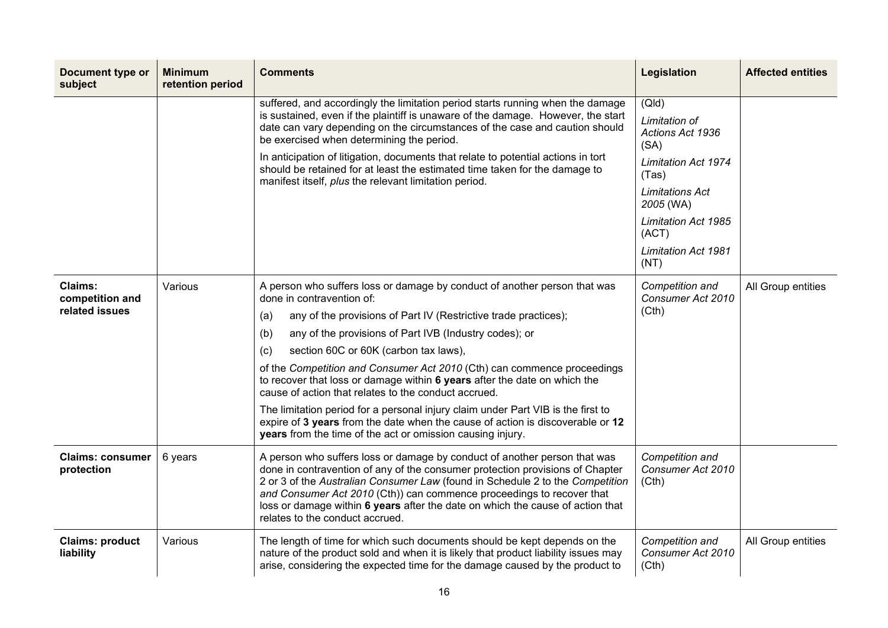| Document type or<br>subject                  | <b>Minimum</b><br>retention period | <b>Comments</b>                                                                                                                                                                                                                                                                                                                                                                                                                                                                                                                                                                                                                                                                                                                                       | Legislation                                                                                                                                                                                            | <b>Affected entities</b> |
|----------------------------------------------|------------------------------------|-------------------------------------------------------------------------------------------------------------------------------------------------------------------------------------------------------------------------------------------------------------------------------------------------------------------------------------------------------------------------------------------------------------------------------------------------------------------------------------------------------------------------------------------------------------------------------------------------------------------------------------------------------------------------------------------------------------------------------------------------------|--------------------------------------------------------------------------------------------------------------------------------------------------------------------------------------------------------|--------------------------|
|                                              |                                    | suffered, and accordingly the limitation period starts running when the damage<br>is sustained, even if the plaintiff is unaware of the damage. However, the start<br>date can vary depending on the circumstances of the case and caution should<br>be exercised when determining the period.<br>In anticipation of litigation, documents that relate to potential actions in tort<br>should be retained for at least the estimated time taken for the damage to<br>manifest itself, plus the relevant limitation period.                                                                                                                                                                                                                            | (QId)<br>Limitation of<br>Actions Act 1936<br>(SA)<br><b>Limitation Act 1974</b><br>(Tas)<br>Limitations Act<br>2005 (WA)<br><b>Limitation Act 1985</b><br>(ACT)<br><b>Limitation Act 1981</b><br>(NT) |                          |
| Claims:<br>competition and<br>related issues | Various                            | A person who suffers loss or damage by conduct of another person that was<br>done in contravention of:<br>any of the provisions of Part IV (Restrictive trade practices);<br>(a)<br>any of the provisions of Part IVB (Industry codes); or<br>(b)<br>section 60C or 60K (carbon tax laws),<br>(c)<br>of the Competition and Consumer Act 2010 (Cth) can commence proceedings<br>to recover that loss or damage within 6 years after the date on which the<br>cause of action that relates to the conduct accrued.<br>The limitation period for a personal injury claim under Part VIB is the first to<br>expire of 3 years from the date when the cause of action is discoverable or 12<br>years from the time of the act or omission causing injury. | Competition and<br>Consumer Act 2010<br>(Cth)                                                                                                                                                          | All Group entities       |
| <b>Claims: consumer</b><br>protection        | 6 years                            | A person who suffers loss or damage by conduct of another person that was<br>done in contravention of any of the consumer protection provisions of Chapter<br>2 or 3 of the Australian Consumer Law (found in Schedule 2 to the Competition<br>and Consumer Act 2010 (Cth)) can commence proceedings to recover that<br>loss or damage within 6 years after the date on which the cause of action that<br>relates to the conduct accrued.                                                                                                                                                                                                                                                                                                             | Competition and<br>Consumer Act 2010<br>(Cth)                                                                                                                                                          |                          |
| <b>Claims: product</b><br>liability          | Various                            | The length of time for which such documents should be kept depends on the<br>nature of the product sold and when it is likely that product liability issues may<br>arise, considering the expected time for the damage caused by the product to                                                                                                                                                                                                                                                                                                                                                                                                                                                                                                       | Competition and<br>Consumer Act 2010<br>(Cth)                                                                                                                                                          | All Group entities       |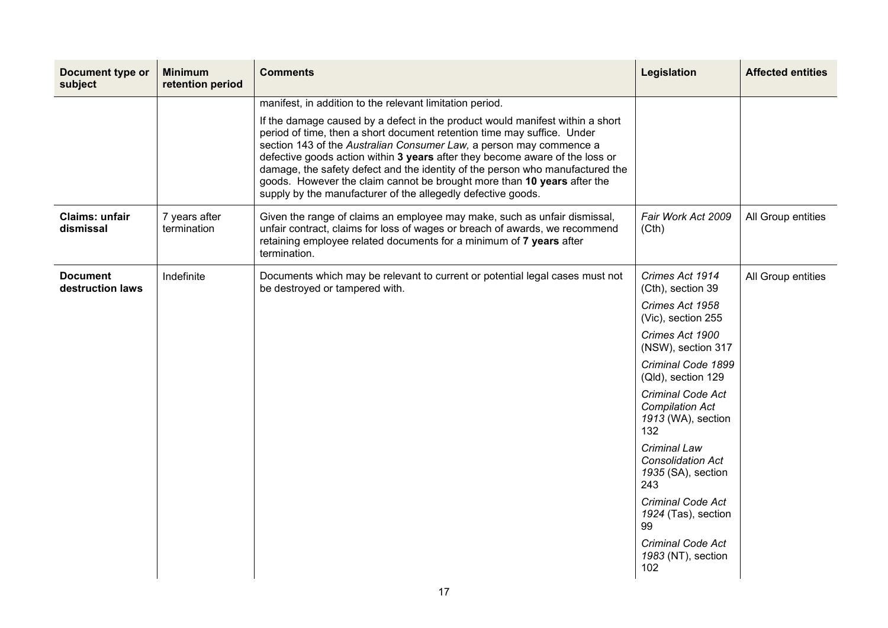| Document type or<br>subject         | <b>Minimum</b><br>retention period | <b>Comments</b>                                                                                                                                                                                                                                                                                                                                                                                                                                                                                                                             | <b>Legislation</b>                                                              | <b>Affected entities</b> |
|-------------------------------------|------------------------------------|---------------------------------------------------------------------------------------------------------------------------------------------------------------------------------------------------------------------------------------------------------------------------------------------------------------------------------------------------------------------------------------------------------------------------------------------------------------------------------------------------------------------------------------------|---------------------------------------------------------------------------------|--------------------------|
|                                     |                                    | manifest, in addition to the relevant limitation period.                                                                                                                                                                                                                                                                                                                                                                                                                                                                                    |                                                                                 |                          |
|                                     |                                    | If the damage caused by a defect in the product would manifest within a short<br>period of time, then a short document retention time may suffice. Under<br>section 143 of the Australian Consumer Law, a person may commence a<br>defective goods action within 3 years after they become aware of the loss or<br>damage, the safety defect and the identity of the person who manufactured the<br>goods. However the claim cannot be brought more than 10 years after the<br>supply by the manufacturer of the allegedly defective goods. |                                                                                 |                          |
| Claims: unfair<br>dismissal         | 7 years after<br>termination       | Given the range of claims an employee may make, such as unfair dismissal,<br>unfair contract, claims for loss of wages or breach of awards, we recommend<br>retaining employee related documents for a minimum of 7 years after<br>termination.                                                                                                                                                                                                                                                                                             | Fair Work Act 2009<br>(Cth)                                                     | All Group entities       |
| <b>Document</b><br>destruction laws | Indefinite                         | Documents which may be relevant to current or potential legal cases must not<br>be destroyed or tampered with.                                                                                                                                                                                                                                                                                                                                                                                                                              | Crimes Act 1914<br>(Cth), section 39                                            | All Group entities       |
|                                     |                                    |                                                                                                                                                                                                                                                                                                                                                                                                                                                                                                                                             | Crimes Act 1958<br>(Vic), section 255                                           |                          |
|                                     |                                    |                                                                                                                                                                                                                                                                                                                                                                                                                                                                                                                                             | Crimes Act 1900<br>(NSW), section 317                                           |                          |
|                                     |                                    |                                                                                                                                                                                                                                                                                                                                                                                                                                                                                                                                             | Criminal Code 1899<br>(Qld), section 129                                        |                          |
|                                     |                                    |                                                                                                                                                                                                                                                                                                                                                                                                                                                                                                                                             | <b>Criminal Code Act</b><br><b>Compilation Act</b><br>1913 (WA), section<br>132 |                          |
|                                     |                                    |                                                                                                                                                                                                                                                                                                                                                                                                                                                                                                                                             | <b>Criminal Law</b><br><b>Consolidation Act</b><br>1935 (SA), section<br>243    |                          |
|                                     |                                    |                                                                                                                                                                                                                                                                                                                                                                                                                                                                                                                                             | <b>Criminal Code Act</b><br>1924 (Tas), section<br>99                           |                          |
|                                     |                                    |                                                                                                                                                                                                                                                                                                                                                                                                                                                                                                                                             | <b>Criminal Code Act</b><br>1983 (NT), section<br>102                           |                          |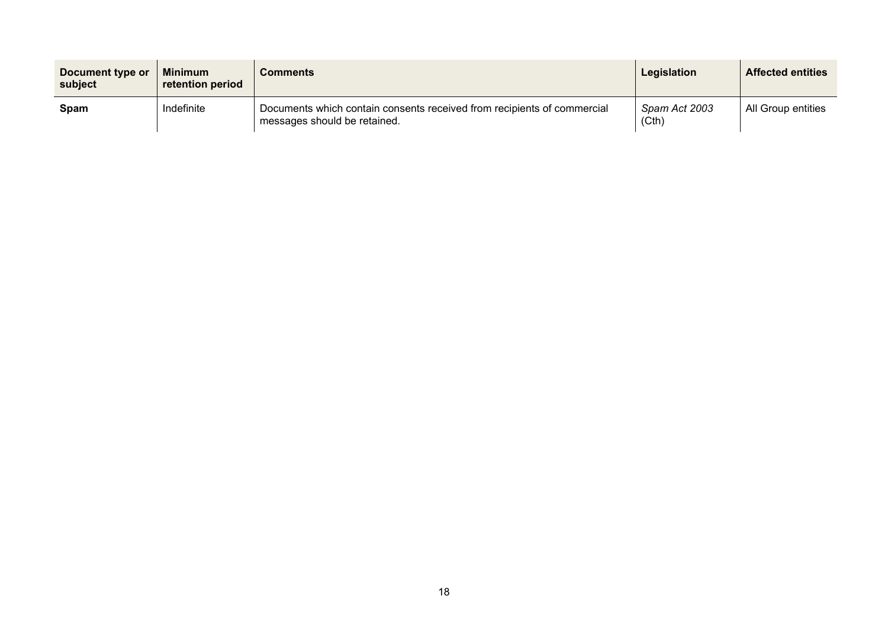| Document type or<br>subject | <b>Minimum</b><br>retention period | <b>Comments</b>                                                                                         | Legislation            | <b>Affected entities</b> |
|-----------------------------|------------------------------------|---------------------------------------------------------------------------------------------------------|------------------------|--------------------------|
| Spam                        | Indefinite                         | Documents which contain consents received from recipients of commercial<br>messages should be retained. | Spam Act 2003<br>(Cth) | All Group entities       |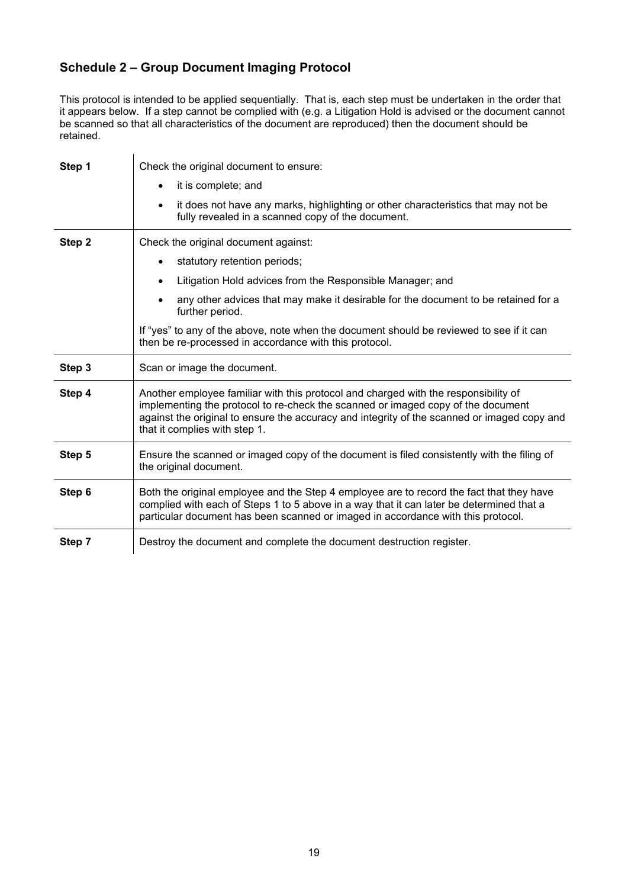## <span id="page-18-0"></span>**Schedule 2 – Group Document Imaging Protocol**

This protocol is intended to be applied sequentially. That is, each step must be undertaken in the order that it appears below. If a step cannot be complied with (e.g. a Litigation Hold is advised or the document cannot be scanned so that all characteristics of the document are reproduced) then the document should be retained.

| Step 1 | Check the original document to ensure:                                                                                                                                                                                                                                                                  |  |  |  |
|--------|---------------------------------------------------------------------------------------------------------------------------------------------------------------------------------------------------------------------------------------------------------------------------------------------------------|--|--|--|
|        | it is complete; and                                                                                                                                                                                                                                                                                     |  |  |  |
|        | it does not have any marks, highlighting or other characteristics that may not be<br>$\bullet$<br>fully revealed in a scanned copy of the document.                                                                                                                                                     |  |  |  |
| Step 2 | Check the original document against:                                                                                                                                                                                                                                                                    |  |  |  |
|        | statutory retention periods;                                                                                                                                                                                                                                                                            |  |  |  |
|        | Litigation Hold advices from the Responsible Manager; and<br>$\bullet$                                                                                                                                                                                                                                  |  |  |  |
|        | any other advices that may make it desirable for the document to be retained for a<br>further period.                                                                                                                                                                                                   |  |  |  |
|        | If "yes" to any of the above, note when the document should be reviewed to see if it can<br>then be re-processed in accordance with this protocol.                                                                                                                                                      |  |  |  |
| Step 3 | Scan or image the document.                                                                                                                                                                                                                                                                             |  |  |  |
| Step 4 | Another employee familiar with this protocol and charged with the responsibility of<br>implementing the protocol to re-check the scanned or imaged copy of the document<br>against the original to ensure the accuracy and integrity of the scanned or imaged copy and<br>that it complies with step 1. |  |  |  |
| Step 5 | Ensure the scanned or imaged copy of the document is filed consistently with the filing of<br>the original document.                                                                                                                                                                                    |  |  |  |
| Step 6 | Both the original employee and the Step 4 employee are to record the fact that they have<br>complied with each of Steps 1 to 5 above in a way that it can later be determined that a<br>particular document has been scanned or imaged in accordance with this protocol.                                |  |  |  |
| Step 7 | Destroy the document and complete the document destruction register.                                                                                                                                                                                                                                    |  |  |  |